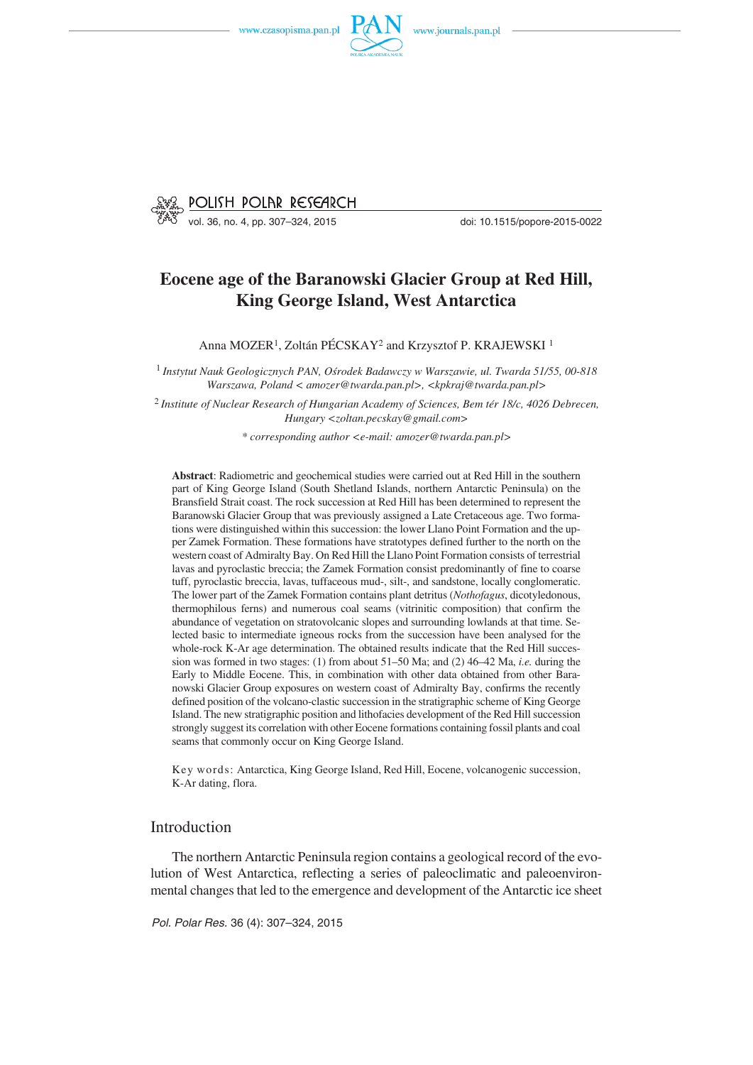



# **Eocene age of the Baranowski Glacier Group at Red Hill, King George Island, West Antarctica**

Anna MOZER<sup>1</sup>, Zoltán PÉCSKAY<sup>2</sup> and Krzysztof P. KRAJEWSKI<sup>1</sup>

<sup>1</sup> *Instytut Nauk Geologicznych PAN, Ośrodek Badawczy w Warszawie, ul. Twarda 51/55, 00−818 Warszawa, Poland < amozer@twarda.pan.pl>, <kpkraj@twarda.pan.pl>*

<sup>2</sup> *Institute of Nuclear Research of Hungarian Academy of Sciences, Bem tér 18/c, 4026 Debrecen, Hungary <zoltan.pecskay@gmail.com>*

*\* corresponding author <e−mail: amozer@twarda.pan.pl>*

**Abstract**: Radiometric and geochemical studies were carried out at Red Hill in the southern part of King George Island (South Shetland Islands, northern Antarctic Peninsula) on the Bransfield Strait coast. The rock succession at Red Hill has been determined to represent the Baranowski Glacier Group that was previously assigned a Late Cretaceous age. Two forma− tions were distinguished within this succession: the lower Llano Point Formation and the up− per Zamek Formation. These formations have stratotypes defined further to the north on the western coast of Admiralty Bay. On Red Hill the Llano Point Formation consists of terrestrial lavas and pyroclastic breccia; the Zamek Formation consist predominantly of fine to coarse tuff, pyroclastic breccia, lavas, tuffaceous mud−, silt−, and sandstone, locally conglomeratic. The lower part of the Zamek Formation contains plant detritus (*Nothofagus*, dicotyledonous, thermophilous ferns) and numerous coal seams (vitrinitic composition) that confirm the abundance of vegetation on stratovolcanic slopes and surrounding lowlands at that time. Se− lected basic to intermediate igneous rocks from the succession have been analysed for the whole−rock K−Ar age determination. The obtained results indicate that the Red Hill succes− sion was formed in two stages: (1) from about 51–50 Ma; and (2) 46–42 Ma, *i.e.* during the Early to Middle Eocene. This, in combination with other data obtained from other Bara− nowski Glacier Group exposures on western coast of Admiralty Bay, confirms the recently defined position of the volcano−clastic succession in the stratigraphic scheme of King George Island. The new stratigraphic position and lithofacies development of the Red Hill succession strongly suggest its correlation with other Eocene formations containing fossil plants and coal seams that commonly occur on King George Island.

Key words: Antarctica, King George Island, Red Hill, Eocene, volcanogenic succession, K−Ar dating, flora.

# Introduction

The northern Antarctic Peninsula region contains a geological record of the evo− lution of West Antarctica, reflecting a series of paleoclimatic and paleoenviron− mental changes that led to the emergence and development of the Antarctic ice sheet

*Pol. Polar Res.* 36 (4): 307–324, 2015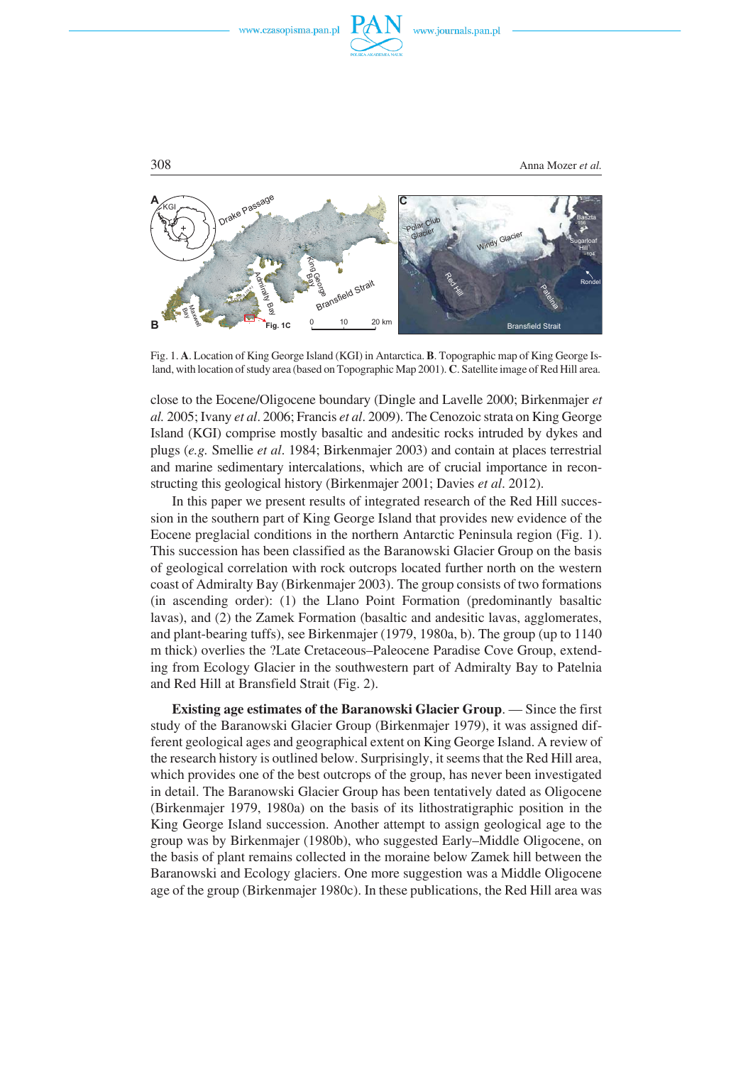



308 Anna Mozer *et al.*

Fig. 1. **A**. Location of King George Island (KGI) in Antarctica. **B**. Topographic map of King George Is− land, with location of study area (based on Topographic Map 2001). **C**. Satellite image of Red Hill area.

close to the Eocene/Oligocene boundary (Dingle and Lavelle 2000; Birkenmajer *et al.* 2005; Ivany *et al*. 2006; Francis *et al*. 2009). The Cenozoic strata on King George Island (KGI) comprise mostly basaltic and andesitic rocks intruded by dykes and plugs (*e.g.* Smellie *et al*. 1984; Birkenmajer 2003) and contain at places terrestrial and marine sedimentary intercalations, which are of crucial importance in recon− structing this geological history (Birkenmajer 2001; Davies *et al*. 2012).

In this paper we present results of integrated research of the Red Hill succes− sion in the southern part of King George Island that provides new evidence of the Eocene preglacial conditions in the northern Antarctic Peninsula region (Fig. 1). This succession has been classified as the Baranowski Glacier Group on the basis of geological correlation with rock outcrops located further north on the western coast of Admiralty Bay (Birkenmajer 2003). The group consists of two formations (in ascending order): (1) the Llano Point Formation (predominantly basaltic lavas), and (2) the Zamek Formation (basaltic and andesitic lavas, agglomerates, and plant−bearing tuffs), see Birkenmajer (1979, 1980a, b). The group (up to 1140 m thick) overlies the ?Late Cretaceous–Paleocene Paradise Cove Group, extend− ing from Ecology Glacier in the southwestern part of Admiralty Bay to Patelnia and Red Hill at Bransfield Strait (Fig. 2).

**Existing age estimates of the Baranowski Glacier Group**. — Since the first study of the Baranowski Glacier Group (Birkenmajer 1979), it was assigned dif− ferent geological ages and geographical extent on King George Island. A review of the research history is outlined below. Surprisingly, it seems that the Red Hill area, which provides one of the best outcrops of the group, has never been investigated in detail. The Baranowski Glacier Group has been tentatively dated as Oligocene (Birkenmajer 1979, 1980a) on the basis of its lithostratigraphic position in the King George Island succession. Another attempt to assign geological age to the group was by Birkenmajer (1980b), who suggested Early–Middle Oligocene, on the basis of plant remains collected in the moraine below Zamek hill between the Baranowski and Ecology glaciers. One more suggestion was a Middle Oligocene age of the group (Birkenmajer 1980c). In these publications, the Red Hill area was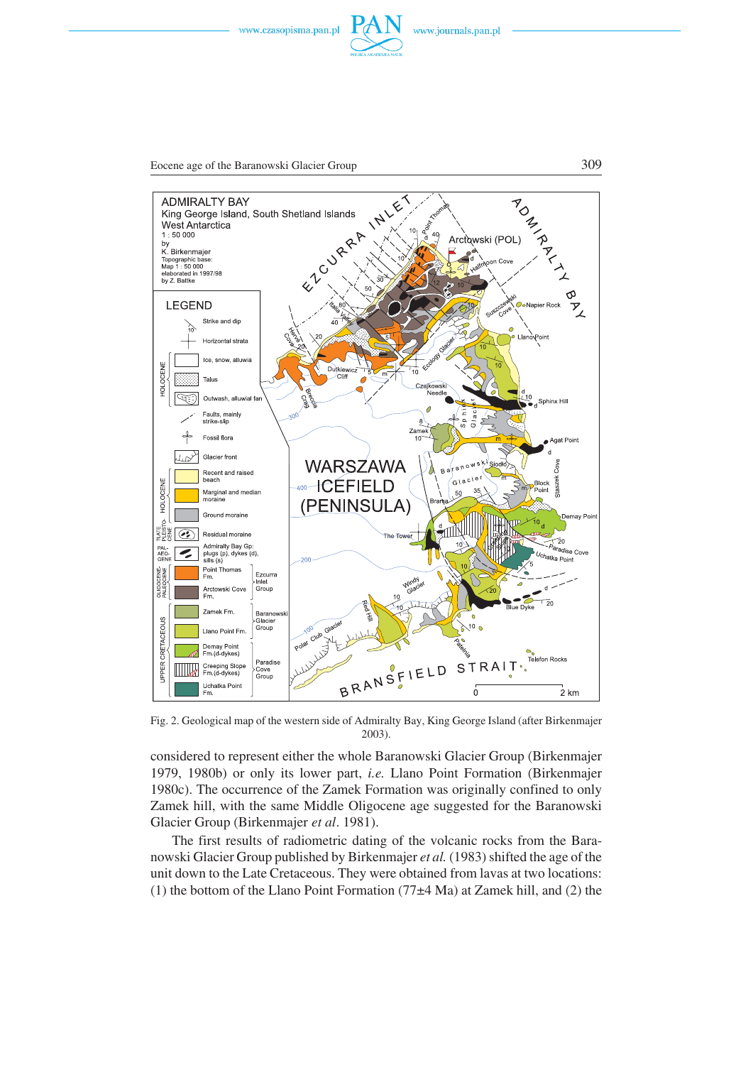



Eocene age of the Baranowski Glacier Group 309





Fig. 2. Geological map of the western side of Admiralty Bay, King George Island (after Birkenmajer 2003).

considered to represent either the whole Baranowski Glacier Group (Birkenmajer 1979, 1980b) or only its lower part, *i.e.* Llano Point Formation (Birkenmajer 1980c). The occurrence of the Zamek Formation was originally confined to only Zamek hill, with the same Middle Oligocene age suggested for the Baranowski Glacier Group (Birkenmajer *et al*. 1981).

The first results of radiometric dating of the volcanic rocks from the Bara– nowski Glacier Group published by Birkenmajer *et al.* (1983) shifted the age of the unit down to the Late Cretaceous. They were obtained from lavas at two locations: (1) the bottom of the Llano Point Formation (77 $\pm$ 4 Ma) at Zamek hill, and (2) the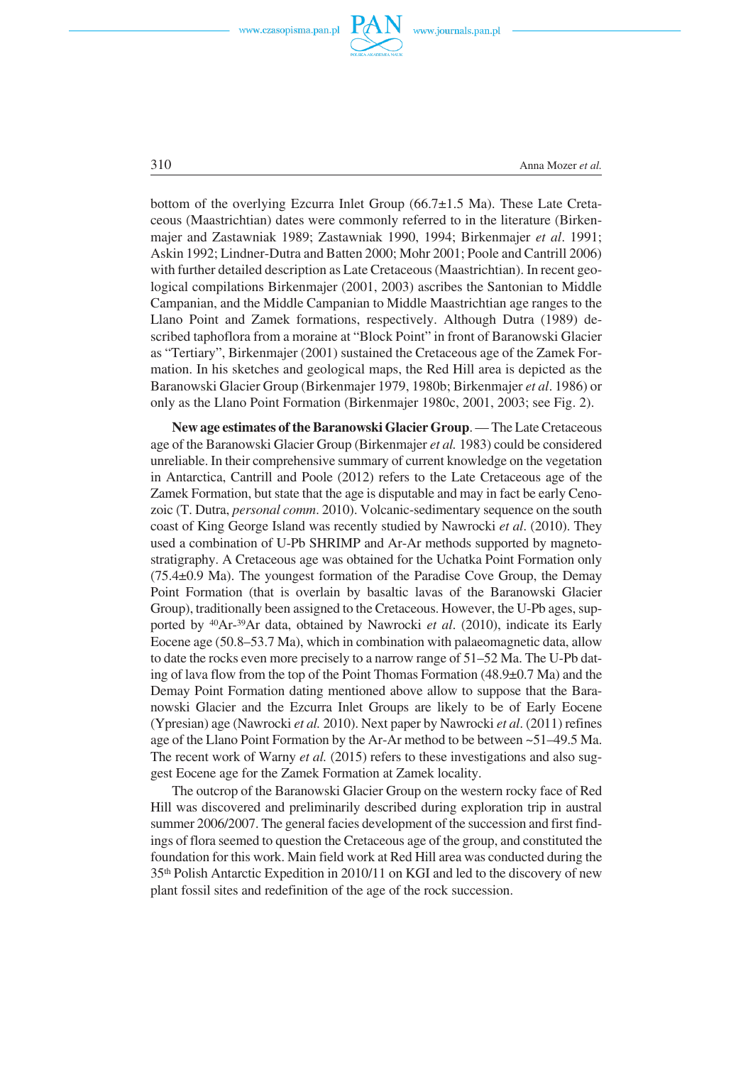



310 Anna Mozer *et al.*

bottom of the overlying Ezcurra Inlet Group (66.7±1.5 Ma). These Late Creta− ceous (Maastrichtian) dates were commonly referred to in the literature (Birken− majer and Zastawniak 1989; Zastawniak 1990, 1994; Birkenmajer *et al*. 1991; Askin 1992; Lindner−Dutra and Batten 2000; Mohr 2001; Poole and Cantrill 2006) with further detailed description as Late Cretaceous (Maastrichtian). In recent geo− logical compilations Birkenmajer (2001, 2003) ascribes the Santonian to Middle Campanian, and the Middle Campanian to Middle Maastrichtian age ranges to the Llano Point and Zamek formations, respectively. Although Dutra (1989) de− scribed taphoflora from a moraine at "Block Point" in front of Baranowski Glacier as "Tertiary", Birkenmajer (2001) sustained the Cretaceous age of the Zamek For− mation. In his sketches and geological maps, the Red Hill area is depicted as the Baranowski Glacier Group (Birkenmajer 1979, 1980b; Birkenmajer *et al*. 1986) or only as the Llano Point Formation (Birkenmajer 1980c, 2001, 2003; see Fig. 2).

**New age estimates of the Baranowski Glacier Group**. — The Late Cretaceous age of the Baranowski Glacier Group (Birkenmajer *et al.* 1983) could be considered unreliable. In their comprehensive summary of current knowledge on the vegetation in Antarctica, Cantrill and Poole (2012) refers to the Late Cretaceous age of the Zamek Formation, but state that the age is disputable and may in fact be early Ceno− zoic (T. Dutra, *personal comm*. 2010). Volcanic−sedimentary sequence on the south coast of King George Island was recently studied by Nawrocki *et al*. (2010). They used a combination of U−Pb SHRIMP and Ar−Ar methods supported by magneto− stratigraphy. A Cretaceous age was obtained for the Uchatka Point Formation only (75.4±0.9 Ma). The youngest formation of the Paradise Cove Group, the Demay Point Formation (that is overlain by basaltic lavas of the Baranowski Glacier Group), traditionally been assigned to the Cretaceous. However, the U−Pb ages, sup− ported by 40Ar−39Ar data, obtained by Nawrocki *et al*. (2010), indicate its Early Eocene age (50.8–53.7 Ma), which in combination with palaeomagnetic data, allow to date the rocks even more precisely to a narrow range of 51–52 Ma. The U−Pb dat− ing of lava flow from the top of the Point Thomas Formation (48.9±0.7 Ma) and the Demay Point Formation dating mentioned above allow to suppose that the Bara− nowski Glacier and the Ezcurra Inlet Groups are likely to be of Early Eocene (Ypresian) age (Nawrocki *et al.* 2010). Next paper by Nawrocki *et al*. (2011) refines age of the Llano Point Formation by the Ar−Ar method to be between ~51–49.5 Ma. The recent work of Warny *et al.* (2015) refers to these investigations and also sug− gest Eocene age for the Zamek Formation at Zamek locality.

The outcrop of the Baranowski Glacier Group on the western rocky face of Red Hill was discovered and preliminarily described during exploration trip in austral summer 2006/2007. The general facies development of the succession and first findings of flora seemed to question the Cretaceous age of the group, and constituted the foundation for this work. Main field work at Red Hill area was conducted during the 35th Polish Antarctic Expedition in 2010/11 on KGI and led to the discovery of new plant fossil sites and redefinition of the age of the rock succession.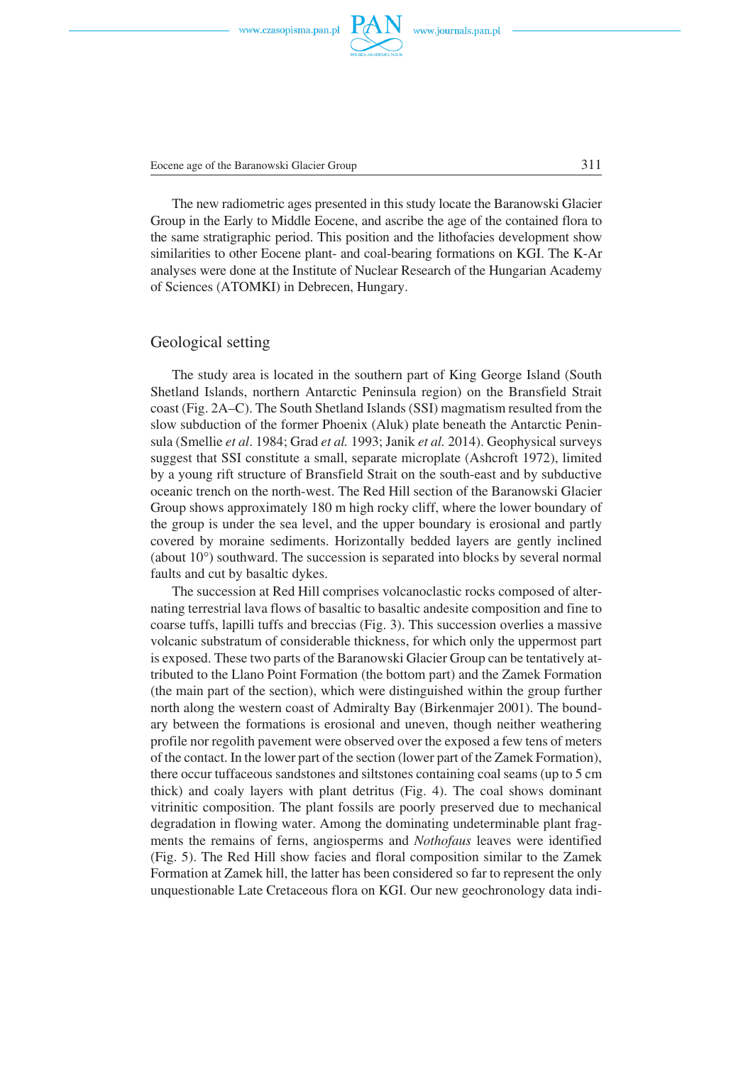Eocene age of the Baranowski Glacier Group 311

The new radiometric ages presented in this study locate the Baranowski Glacier Group in the Early to Middle Eocene, and ascribe the age of the contained flora to the same stratigraphic period. This position and the lithofacies development show similarities to other Eocene plant− and coal−bearing formations on KGI. The K−Ar analyses were done at the Institute of Nuclear Research of the Hungarian Academy of Sciences (ATOMKI) in Debrecen, Hungary.

## Geological setting

The study area is located in the southern part of King George Island (South Shetland Islands, northern Antarctic Peninsula region) on the Bransfield Strait coast (Fig. 2A–C). The South Shetland Islands (SSI) magmatism resulted from the slow subduction of the former Phoenix (Aluk) plate beneath the Antarctic Penin− sula (Smellie *et al*. 1984; Grad *et al.* 1993; Janik *et al.* 2014). Geophysical surveys suggest that SSI constitute a small, separate microplate (Ashcroft 1972), limited by a young rift structure of Bransfield Strait on the south−east and by subductive oceanic trench on the north−west. The Red Hill section of the Baranowski Glacier Group shows approximately 180 m high rocky cliff, where the lower boundary of the group is under the sea level, and the upper boundary is erosional and partly covered by moraine sediments. Horizontally bedded layers are gently inclined covered by moraine sediments. Horizontally bedded layers are gently inclined (about 10°) southward. The succession is separated into blocks by several normal faults and cut by basaltic dykes.

The succession at Red Hill comprises volcanoclastic rocks composed of alter− nating terrestrial lava flows of basaltic to basaltic andesite composition and fine to coarse tuffs, lapilli tuffs and breccias (Fig. 3). This succession overlies a massive volcanic substratum of considerable thickness, for which only the uppermost part is exposed. These two parts of the Baranowski Glacier Group can be tentatively at− tributed to the Llano Point Formation (the bottom part) and the Zamek Formation (the main part of the section), which were distinguished within the group further north along the western coast of Admiralty Bay (Birkenmajer 2001). The bound− ary between the formations is erosional and uneven, though neither weathering profile nor regolith pavement were observed over the exposed a few tens of meters of the contact. In the lower part of the section (lower part of the Zamek Formation), there occur tuffaceous sandstones and siltstones containing coal seams (up to 5 cm thick) and coaly layers with plant detritus (Fig. 4). The coal shows dominant vitrinitic composition. The plant fossils are poorly preserved due to mechanical degradation in flowing water. Among the dominating undeterminable plant frag− ments the remains of ferns, angiosperms and *Nothofaus* leaves were identified (Fig. 5). The Red Hill show facies and floral composition similar to the Zamek Formation at Zamek hill, the latter has been considered so far to represent the only unquestionable Late Cretaceous flora on KGI. Our new geochronology data indi−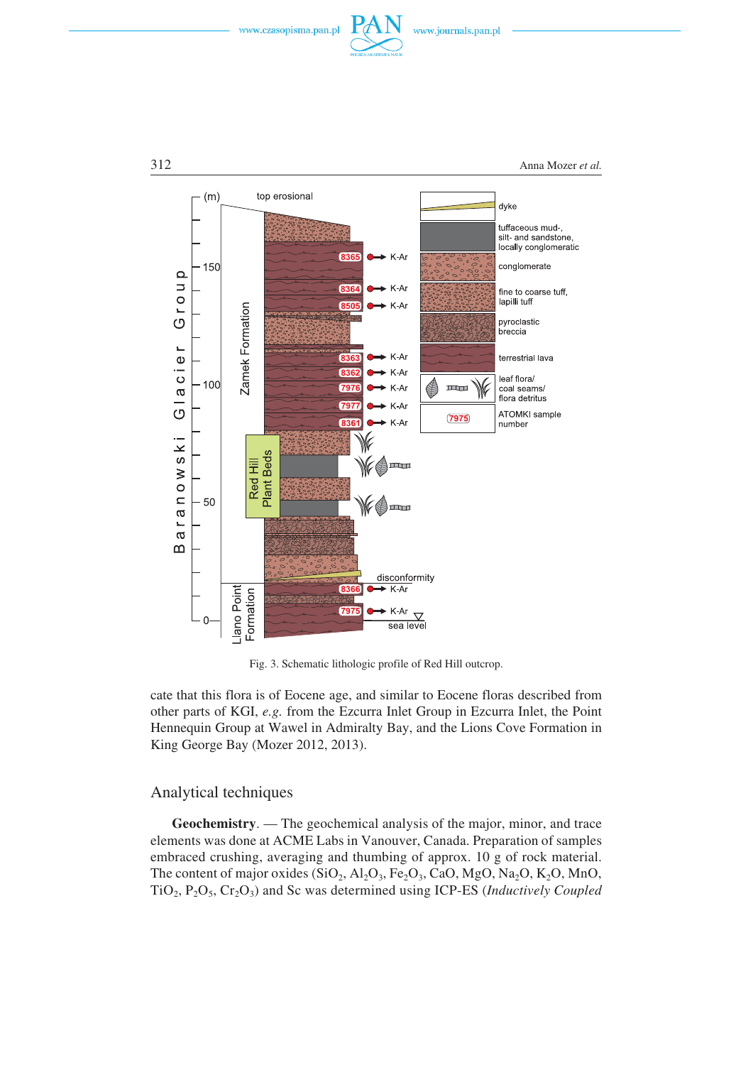





Fig. 3. Schematic lithologic profile of Red Hill outcrop.

cate that this flora is of Eocene age, and similar to Eocene floras described from other parts of KGI, *e.g.* from the Ezcurra Inlet Group in Ezcurra Inlet, the Point Hennequin Group at Wawel in Admiralty Bay, and the Lions Cove Formation in King George Bay (Mozer 2012, 2013).

## Analytical techniques

**Geochemistry**. — The geochemical analysis of the major, minor, and trace elements was done at ACME Labs in Vanouver, Canada. Preparation of samples embraced crushing, averaging and thumbing of approx. 10 g of rock material. The content of major oxides  $(SiO_2, Al_2O_3, Fe_2O_3, CaO, MgO, Na_2O, K_2O, MnO,$ TiO2, P2O5, Cr2O3) and Sc was determined using ICP−ES (*Inductively Coupled*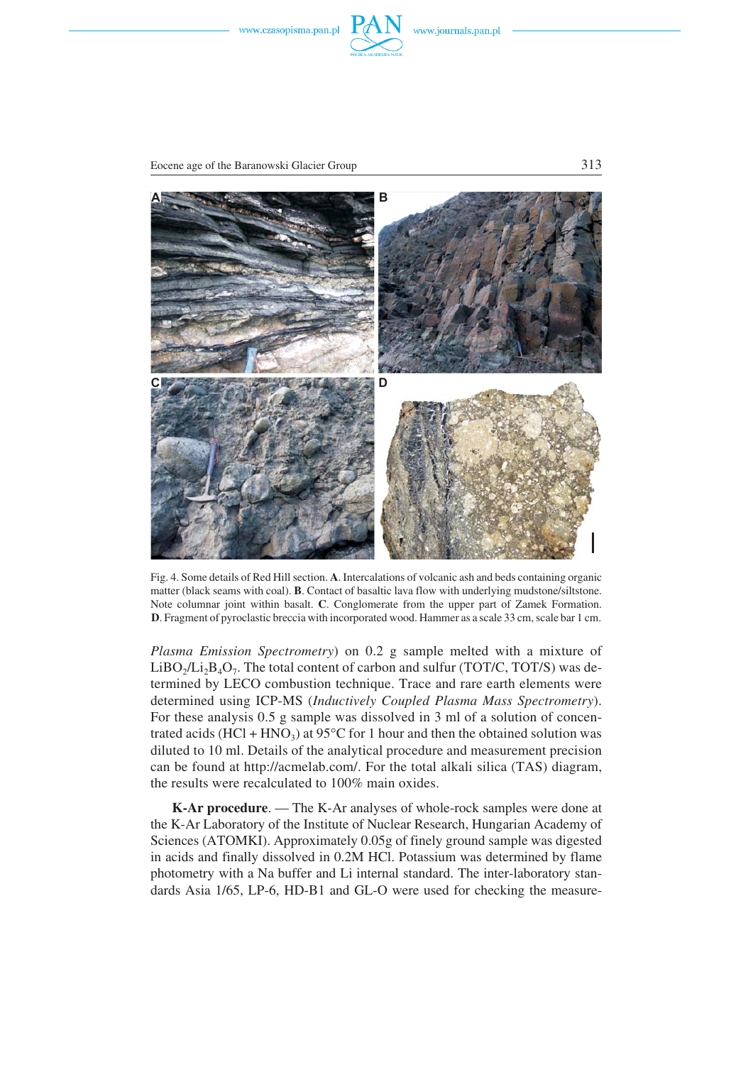



Eocene age of the Baranowski Glacier Group 313



Fig. 4. Some details of Red Hill section. **A**. Intercalations of volcanic ash and beds containing organic matter (black seams with coal). **B**. Contact of basaltic lava flow with underlying mudstone/siltstone. Note columnar joint within basalt. **C**. Conglomerate from the upper part of Zamek Formation. **D**. Fragment of pyroclastic breccia with incorporated wood. Hammer as a scale 33 cm, scale bar 1 cm.

*Plasma Emission Spectrometry*) on 0.2 g sample melted with a mixture of LiBO<sub>2</sub>/Li<sub>2</sub>B<sub>4</sub>O<sub>7</sub>. The total content of carbon and sulfur (TOT/C, TOT/S) was de− termined by LECO combustion technique. Trace and rare earth elements were determined using ICP−MS (*Inductively Coupled Plasma Mass Spectrometry*). For these analysis 0.5 g sample was dissolved in 3 ml of a solution of concen− For these analysis 0.5 g sample was dissolved in 3 ml of a solution of concentrated acids  $(HCl + HNO<sub>3</sub>)$  at 95°C for 1 hour and then the obtained solution was diluted to 10 ml. Details of the analytical procedure and measurement precision can be found at http://acmelab.com/. For the total alkali silica (TAS) diagram, the results were recalculated to 100% main oxides.

**K−Ar procedure**. — The K−Ar analyses of whole−rock samples were done at the K−Ar Laboratory of the Institute of Nuclear Research, Hungarian Academy of Sciences (ATOMKI). Approximately 0.05g of finely ground sample was digested in acids and finally dissolved in 0.2M HCl. Potassium was determined by flame photometry with a Na buffer and Li internal standard. The inter−laboratory stan− dards Asia 1/65, LP−6, HD−B1 and GL−O were used for checking the measure−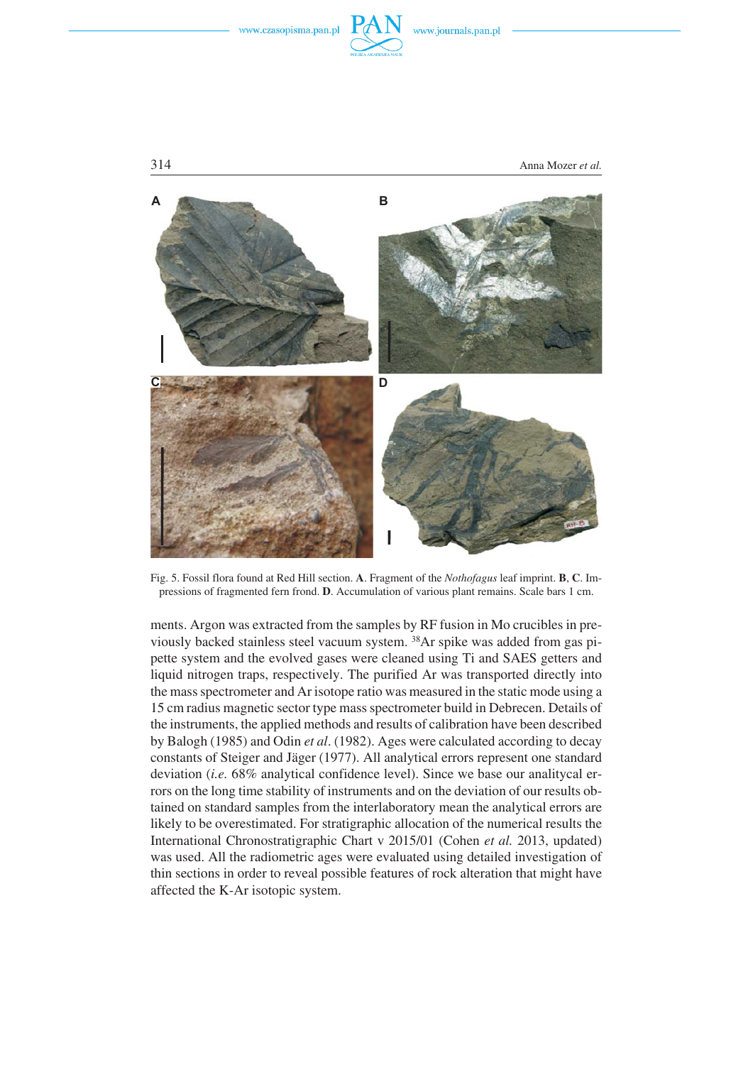



Fig. 5. Fossil flora found at Red Hill section. **A**. Fragment of the *Nothofagus* leaf imprint. **B**, **C**. Im− pressions of fragmented fern frond. **D**. Accumulation of various plant remains. Scale bars 1 cm.

ments. Argon was extracted from the samples by RF fusion in Mo crucibles in pre− viously backed stainless steel vacuum system. 38Ar spike was added from gas pi− pette system and the evolved gases were cleaned using Ti and SAES getters and liquid nitrogen traps, respectively. The purified Ar was transported directly into the mass spectrometer and Ar isotope ratio was measured in the static mode using a 15 cm radius magnetic sector type mass spectrometer build in Debrecen. Details of the instruments, the applied methods and results of calibration have been described by Balogh (1985) and Odin *et al*. (1982). Ages were calculated according to decay constants of Steiger and Jäger (1977). All analytical errors represent one standard deviation (*i.e.* 68% analytical confidence level). Since we base our analitycal er− rors on the long time stability of instruments and on the deviation of our results ob− tained on standard samples from the interlaboratory mean the analytical errors are likely to be overestimated. For stratigraphic allocation of the numerical results the International Chronostratigraphic Chart v 2015/01 (Cohen *et al.* 2013, updated) was used. All the radiometric ages were evaluated using detailed investigation of thin sections in order to reveal possible features of rock alteration that might have affected the K−Ar isotopic system.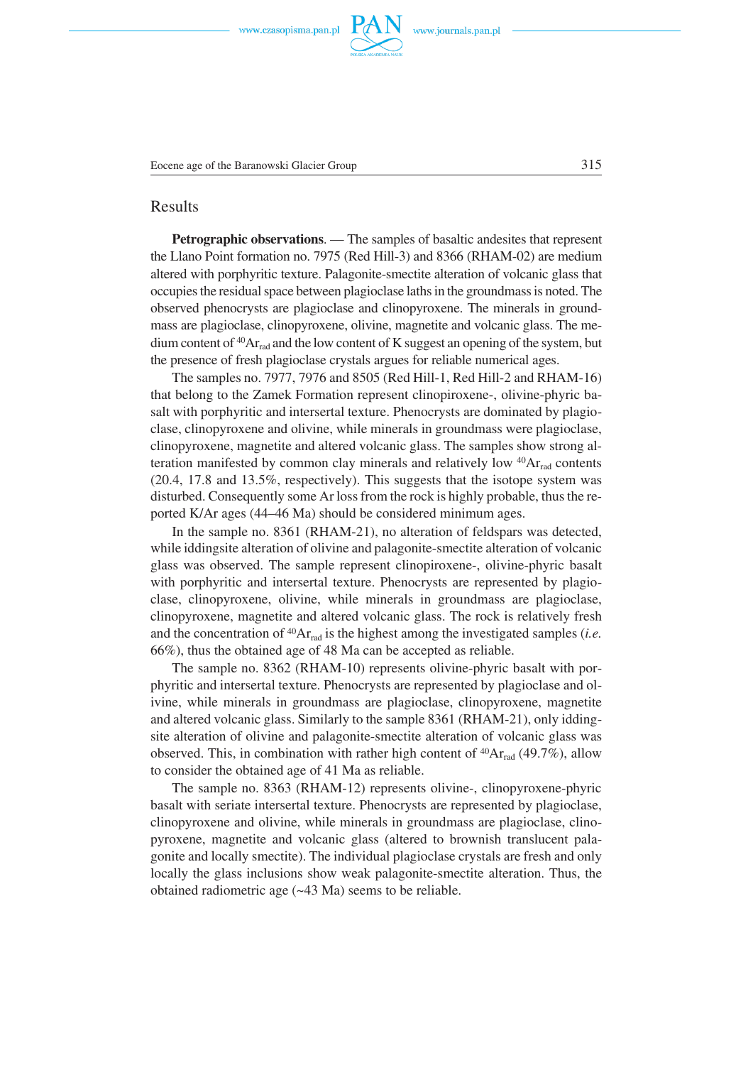

## Results

**Petrographic observations**. — The samples of basaltic andesites that represent the Llano Point formation no. 7975 (Red Hill−3) and 8366 (RHAM−02) are medium altered with porphyritic texture. Palagonite−smectite alteration of volcanic glass that occupies the residual space between plagioclase laths in the groundmass is noted. The observed phenocrysts are plagioclase and clinopyroxene. The minerals in ground− mass are plagioclase, clinopyroxene, olivine, magnetite and volcanic glass. The me− dium content of  ${}^{40}Ar_{rad}$  and the low content of K suggest an opening of the system, but the presence of fresh plagioclase crystals argues for reliable numerical ages.

The samples no. 7977, 7976 and 8505 (Red Hill−1, Red Hill−2 and RHAM−16) that belong to the Zamek Formation represent clinopiroxene−, olivine−phyric ba− salt with porphyritic and intersertal texture. Phenocrysts are dominated by plagio− clase, clinopyroxene and olivine, while minerals in groundmass were plagioclase, clinopyroxene, magnetite and altered volcanic glass. The samples show strong al− teration manifested by common clay minerals and relatively low  $40Ar_{rad}$  contents (20.4, 17.8 and 13.5%, respectively). This suggests that the isotope system was disturbed. Consequently some Ar loss from the rock is highly probable, thus the re− ported K/Ar ages (44–46 Ma) should be considered minimum ages.

In the sample no. 8361 (RHAM−21), no alteration of feldspars was detected, while iddingsite alteration of olivine and palagonite−smectite alteration of volcanic glass was observed. The sample represent clinopiroxene−, olivine−phyric basalt with porphyritic and intersertal texture. Phenocrysts are represented by plagio− clase, clinopyroxene, olivine, while minerals in groundmass are plagioclase, clinopyroxene, magnetite and altered volcanic glass. The rock is relatively fresh and the concentration of  ${}^{40}\text{Ar}_{rad}$  is the highest among the investigated samples *(i.e.*) 66%), thus the obtained age of 48 Ma can be accepted as reliable.

The sample no. 8362 (RHAM-10) represents olivine-phyric basalt with porphyritic and intersertal texture. Phenocrysts are represented by plagioclase and ol− ivine, while minerals in groundmass are plagioclase, clinopyroxene, magnetite and altered volcanic glass. Similarly to the sample 8361 (RHAM−21), only idding− site alteration of olivine and palagonite−smectite alteration of volcanic glass was observed. This, in combination with rather high content of  $^{40}Ar_{rad}$  (49.7%), allow to consider the obtained age of 41 Ma as reliable.

The sample no. 8363 (RHAM−12) represents olivine−, clinopyroxene−phyric basalt with seriate intersertal texture. Phenocrysts are represented by plagioclase, clinopyroxene and olivine, while minerals in groundmass are plagioclase, clino− pyroxene, magnetite and volcanic glass (altered to brownish translucent pala− gonite and locally smectite). The individual plagioclase crystals are fresh and only locally the glass inclusions show weak palagonite−smectite alteration. Thus, the obtained radiometric age (~43 Ma) seems to be reliable.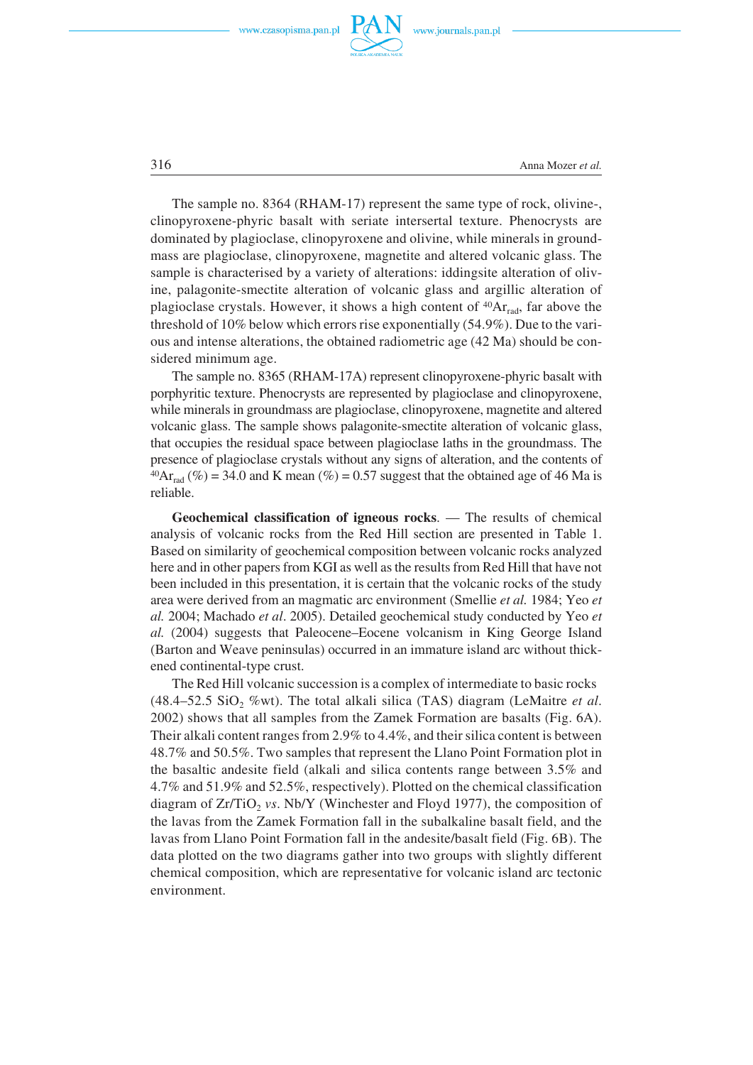



316 Anna Mozer *et al.*

The sample no. 8364 (RHAM−17) represent the same type of rock, olivine-, clinopyroxene−phyric basalt with seriate intersertal texture. Phenocrysts are dominated by plagioclase, clinopyroxene and olivine, while minerals in ground− mass are plagioclase, clinopyroxene, magnetite and altered volcanic glass. The sample is characterised by a variety of alterations: iddingsite alteration of oliv− ine, palagonite−smectite alteration of volcanic glass and argillic alteration of plagioclase crystals. However, it shows a high content of  $40Ar_{rad}$ , far above the threshold of 10% below which errors rise exponentially (54.9%). Due to the vari− ous and intense alterations, the obtained radiometric age (42 Ma) should be con− sidered minimum age.

The sample no. 8365 (RHAM-17A) represent clinopyroxene-phyric basalt with porphyritic texture. Phenocrysts are represented by plagioclase and clinopyroxene, while minerals in groundmass are plagioclase, clinopyroxene, magnetite and altered volcanic glass. The sample shows palagonite−smectite alteration of volcanic glass, that occupies the residual space between plagioclase laths in the groundmass. The presence of plagioclase crystals without any signs of alteration, and the contents of <sup>40</sup>Ar<sub>rad</sub> (%) = 34.0 and K mean (%) = 0.57 suggest that the obtained age of 46 Ma is reliable.

**Geochemical classification of igneous rocks**. — The results of chemical analysis of volcanic rocks from the Red Hill section are presented in Table 1. Based on similarity of geochemical composition between volcanic rocks analyzed here and in other papers from KGI as well as the results from Red Hill that have not been included in this presentation, it is certain that the volcanic rocks of the study area were derived from an magmatic arc environment (Smellie *et al.* 1984; Yeo *et al.* 2004; Machado *et al*. 2005). Detailed geochemical study conducted by Yeo *et al.* (2004) suggests that Paleocene–Eocene volcanism in King George Island (Barton and Weave peninsulas) occurred in an immature island arc without thick− ened continental−type crust.

The Red Hill volcanic succession is a complex of intermediate to basic rocks  $(48.4–52.5 SiO<sub>2</sub>$  %wt). The total alkali silica (TAS) diagram (LeMaitre *et al.* 2002) shows that all samples from the Zamek Formation are basalts (Fig. 6A). Their alkali content ranges from 2.9% to 4.4%, and their silica content is between 48.7% and 50.5%. Two samples that represent the Llano Point Formation plot in the basaltic andesite field (alkali and silica contents range between 3.5% and 4.7% and 51.9% and 52.5%, respectively). Plotted on the chemical classification diagram of  $Zr/TiO<sub>2</sub>$  *vs*. Nb/Y (Winchester and Floyd 1977), the composition of the lavas from the Zamek Formation fall in the subalkaline basalt field, and the lavas from Llano Point Formation fall in the andesite/basalt field (Fig. 6B). The data plotted on the two diagrams gather into two groups with slightly different chemical composition, which are representative for volcanic island arc tectonic environment.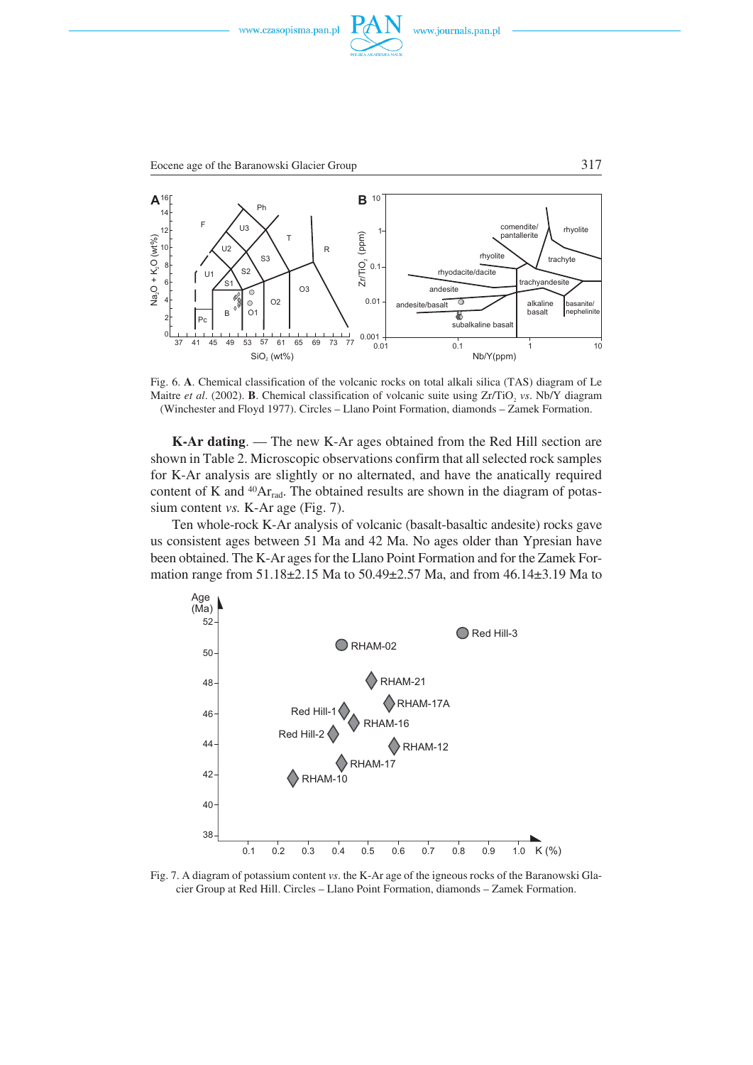







Fig. 6. **A**. Chemical classification of the volcanic rocks on total alkali silica (TAS) diagram of Le Maitre *et al.* (2002). **B**. Chemical classification of volcanic suite using Zr/TiO, *vs*. Nb/Y diagram (Winchester and Floyd 1977). Circles – Llano Point Formation, diamonds – Zamek Formation.

**K−Ar dating**. — The new K−Ar ages obtained from the Red Hill section are shown in Table 2. Microscopic observations confirm that all selected rock samples for K−Ar analysis are slightly or no alternated, and have the anatically required content of K and <sup>40</sup>Ar<sub>rad</sub>. The obtained results are shown in the diagram of potassium content *vs.* K−Ar age (Fig. 7).

Ten whole−rock K−Ar analysis of volcanic (basalt−basaltic andesite) rocks gave us consistent ages between 51 Ma and 42 Ma. No ages older than Ypresian have been obtained. The K−Ar ages for the Llano Point Formation and for the Zamek For− mation range from 51.18 $\pm$ 2.15 Ma to 50.49 $\pm$ 2.57 Ma, and from 46.14 $\pm$ 3.19 Ma to



Fig. 7. A diagram of potassium content *vs*. the K−Ar age of the igneous rocks of the Baranowski Gla− cier Group at Red Hill. Circles – Llano Point Formation, diamonds – Zamek Formation.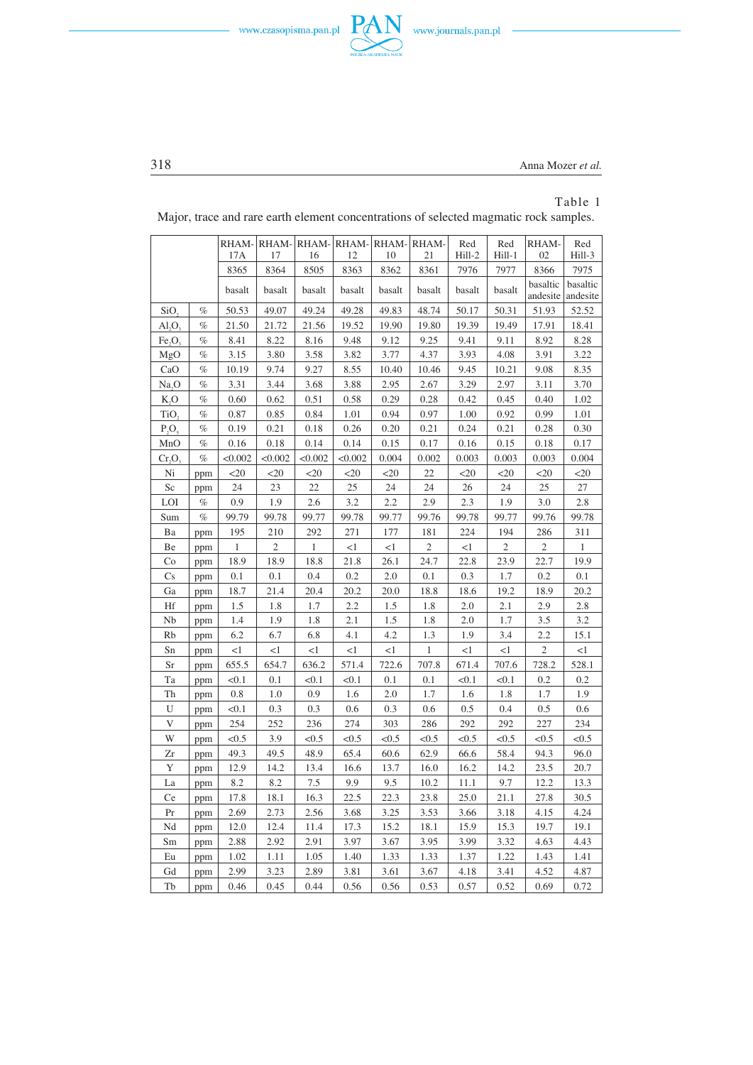



318 Anna Mozer *et al.*

 $\frac{\partial \mathbf{u}(\mathbf{u})}{\partial \mathbf{u}(\mathbf{u})} = \frac{\partial \mathbf{u}(\mathbf{u})}{\partial \mathbf{u}(\mathbf{u})}$ 

# Table 1

|                  |      | RHAM-<br>17A | 17             | 16      | RHAM-RHAM-RHAM-RHAM-RHAM-<br>12 | 10     | 21             | Red<br>Hill-2 | Red<br>Hill-1 | RHAM-<br>02          | Red<br>Hill-3        |
|------------------|------|--------------|----------------|---------|---------------------------------|--------|----------------|---------------|---------------|----------------------|----------------------|
|                  |      | 8365         | 8364           | 8505    | 8363                            | 8362   | 8361           | 7976          | 7977          | 8366                 | 7975                 |
|                  |      | basalt       | basalt         | basalt  | basalt                          | basalt | basalt         | basalt        | basalt        | basaltic<br>andesite | basaltic<br>andesite |
| SiO <sub>2</sub> | $\%$ | 50.53        | 49.07          | 49.24   | 49.28                           | 49.83  | 48.74          | 50.17         | 50.31         | 51.93                | 52.52                |
| AI, O,           | $\%$ | 21.50        | 21.72          | 21.56   | 19.52                           | 19.90  | 19.80          | 19.39         | 19.49         | 17.91                | 18.41                |
| Fe, O,           | $\%$ | 8.41         | 8.22           | 8.16    | 9.48                            | 9.12   | 9.25           | 9.41          | 9.11          | 8.92                 | 8.28                 |
| MgO              | $\%$ | 3.15         | 3.80           | 3.58    | 3.82                            | 3.77   | 4.37           | 3.93          | 4.08          | 3.91                 | 3.22                 |
| CaO              | $\%$ | 10.19        | 9.74           | 9.27    | 8.55                            | 10.40  | 10.46          | 9.45          | 10.21         | 9.08                 | 8.35                 |
| Na, O            | $\%$ | 3.31         | 3.44           | 3.68    | 3.88                            | 2.95   | 2.67           | 3.29          | 2.97          | 3.11                 | 3.70                 |
| K,O              | $\%$ | 0.60         | 0.62           | 0.51    | 0.58                            | 0.29   | 0.28           | 0.42          | 0.45          | 0.40                 | 1.02                 |
| TiO,             | $\%$ | 0.87         | 0.85           | 0.84    | 1.01                            | 0.94   | 0.97           | 1.00          | 0.92          | 0.99                 | 1.01                 |
| $P_3O_5$         | $\%$ | 0.19         | 0.21           | 0.18    | 0.26                            | 0.20   | 0.21           | 0.24          | 0.21          | 0.28                 | 0.30                 |
| MnO              | $\%$ | 0.16         | 0.18           | 0.14    | 0.14                            | 0.15   | 0.17           | 0.16          | 0.15          | 0.18                 | 0.17                 |
| Cr, O            | $\%$ | < 0.002      | < 0.002        | < 0.002 | < 0.002                         | 0.004  | 0.002          | 0.003         | 0.003         | 0.003                | 0.004                |
| Ni               | ppm  | $<$ 20       | $<$ 20         | $20$    | $20$                            | $<$ 20 | 22             | $<$ 20        | $<$ 20        | $<$ 20               | $<$ 20               |
| Sc               | ppm  | 24           | 23             | 22      | 25                              | 24     | 24             | 26            | 24            | 25                   | 27                   |
| LOI              | $\%$ | 0.9          | 1.9            | 2.6     | 3.2                             | 2.2    | 2.9            | 2.3           | 1.9           | 3.0                  | 2.8                  |
| Sum              | $\%$ | 99.79        | 99.78          | 99.77   | 99.78                           | 99.77  | 99.76          | 99.78         | 99.77         | 99.76                | 99.78                |
| Ba               | ppm  | 195          | 210            | 292     | 271                             | 177    | 181            | 224           | 194           | 286                  | 311                  |
| Be               | ppm  | 1            | $\overline{c}$ | 1       | <1                              | <1     | $\mathfrak{2}$ | $<$ 1         | 2             | $\overline{c}$       | 1                    |
| Co               | ppm  | 18.9         | 18.9           | 18.8    | 21.8                            | 26.1   | 24.7           | 22.8          | 23.9          | 22.7                 | 19.9                 |
| Cs               | ppm  | 0.1          | 0.1            | 0.4     | 0.2                             | 2.0    | 0.1            | 0.3           | 1.7           | 0.2                  | 0.1                  |
| Ga               | ppm  | 18.7         | 21.4           | 20.4    | 20.2                            | 20.0   | 18.8           | 18.6          | 19.2          | 18.9                 | 20.2                 |
| Hf               | ppm  | 1.5          | 1.8            | 1.7     | 2.2                             | 1.5    | 1.8            | 2.0           | 2.1           | 2.9                  | 2.8                  |
| Nb               | ppm  | 1.4          | 1.9            | 1.8     | 2.1                             | 1.5    | 1.8            | 2.0           | 1.7           | 3.5                  | 3.2                  |
| Rb               | ppm  | 6.2          | 6.7            | 6.8     | 4.1                             | 4.2    | 1.3            | 1.9           | 3.4           | 2.2                  | 15.1                 |
| Sn               | ppm  | $<$ l        | $<$ 1          | $<$ l   | $<$ 1                           | $<$ 1  | $\mathbf{1}$   | $<$ 1         | <1            | $\overline{c}$       | $<$ 1                |
| Sr               | ppm  | 655.5        | 654.7          | 636.2   | 571.4                           | 722.6  | 707.8          | 671.4         | 707.6         | 728.2                | 528.1                |
| Ta               | ppm  | < 0.1        | 0.1            | < 0.1   | < 0.1                           | 0.1    | 0.1            | < 0.1         | < 0.1         | 0.2                  | 0.2                  |
| Th               | ppm  | 0.8          | 1.0            | 0.9     | 1.6                             | 2.0    | 1.7            | 1.6           | 1.8           | 1.7                  | 1.9                  |
| U                | ppm  | < 0.1        | 0.3            | 0.3     | 0.6                             | 0.3    | 0.6            | 0.5           | 0.4           | 0.5                  | 0.6                  |
| V                | ppm  | 254          | 252            | 236     | 274                             | 303    | 286            | 292           | 292           | 227                  | 234                  |
| W                | ppm  | <0.5         | 3.9            | < 0.5   | < 0.5                           | <0.5   | <0.5           | < 0.5         | < 0.5         | < 0.5                | < 0.5                |
| Zr               | ppm  | 49.3         | 49.5           | 48.9    | 65.4                            | 60.6   | 62.9           | 66.6          | 58.4          | 94.3                 | 96.0                 |
| $\mathbf Y$      | ppm  | 12.9         | 14.2           | 13.4    | 16.6                            | 13.7   | 16.0           | 16.2          | 14.2          | 23.5                 | 20.7                 |
| La               | ppm  | 8.2          | 8.2            | 7.5     | 9.9                             | 9.5    | 10.2           | 11.1          | 9.7           | 12.2                 | 13.3                 |
| <b>Ce</b>        | ppm  | 17.8         | 18.1           | 16.3    | 22.5                            | 22.3   | 23.8           | 25.0          | 21.1          | 27.8                 | 30.5                 |
| Pr               | ppm  | 2.69         | 2.73           | 2.56    | 3.68                            | 3.25   | 3.53           | 3.66          | 3.18          | 4.15                 | 4.24                 |
| Nd               | ppm  | 12.0         | 12.4           | 11.4    | 17.3                            | 15.2   | 18.1           | 15.9          | 15.3          | 19.7                 | 19.1                 |
| Sm               | ppm  | 2.88         | 2.92           | 2.91    | 3.97                            | 3.67   | 3.95           | 3.99          | 3.32          | 4.63                 | 4.43                 |
| Eu               | ppm  | 1.02         | 1.11           | 1.05    | 1.40                            | 1.33   | 1.33           | 1.37          | 1.22          | 1.43                 | 1.41                 |
| Gd               | ppm  | 2.99         | 3.23           | 2.89    | 3.81                            | 3.61   | 3.67           | 4.18          | 3.41          | 4.52                 | 4.87                 |
| Tb               | ppm  | 0.46         | 0.45           | 0.44    | 0.56                            | 0.56   | 0.53           | 0.57          | 0.52          | 0.69                 | 0.72                 |

Major, trace and rare earth element concentrations of selected magmatic rock samples.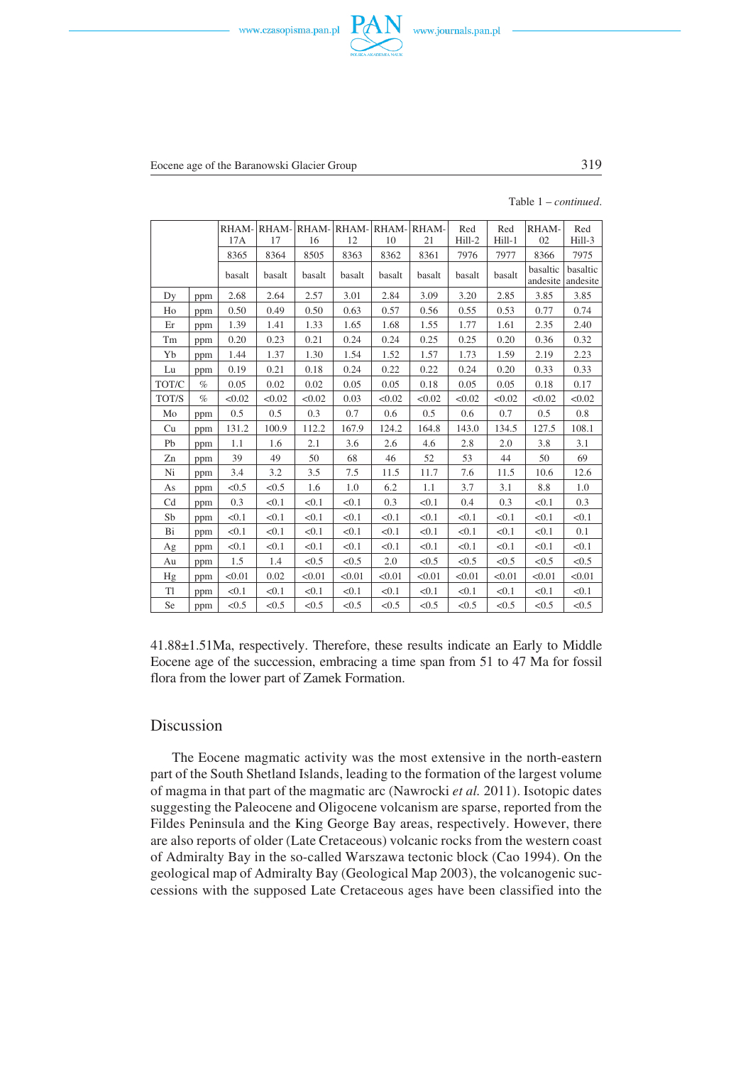



Eocene age of the Baranowski Glacier Group 319

Table 1 – *continued*.

|       |      |         | RHAM-RHAM- |                  |        | $RHAM-$ |             |                 |                 |             |               |
|-------|------|---------|------------|------------------|--------|---------|-------------|-----------------|-----------------|-------------|---------------|
|       |      | 17A     | 17         | RHAM-RHAM-<br>16 | 12     | 10      | RHAM-<br>21 | Red<br>$Hill-2$ | Red<br>$Hill-1$ | RHAM-<br>02 | Red<br>Hill-3 |
|       |      | 8365    | 8364       | 8505             | 8363   | 8362    | 8361        | 7976            | 7977            | 8366        | 7975          |
|       |      |         |            |                  |        |         |             |                 |                 | basaltic    | basaltic      |
|       |      | basalt  | basalt     | basalt           | basalt | basalt  | basalt      | basalt          | basalt          | andesite    | andesite      |
| Dy    | ppm  | 2.68    | 2.64       | 2.57             | 3.01   | 2.84    | 3.09        | 3.20            | 2.85            | 3.85        | 3.85          |
| Ho    | ppm  | 0.50    | 0.49       | 0.50             | 0.63   | 0.57    | 0.56        | 0.55            | 0.53            | 0.77        | 0.74          |
| Er    | ppm  | 1.39    | 1.41       | 1.33             | 1.65   | 1.68    | 1.55        | 1.77            | 1.61            | 2.35        | 2.40          |
| Tm    | ppm  | 0.20    | 0.23       | 0.21             | 0.24   | 0.24    | 0.25        | 0.25            | 0.20            | 0.36        | 0.32          |
| Yb    | ppm  | 1.44    | 1.37       | 1.30             | 1.54   | 1.52    | 1.57        | 1.73            | 1.59            | 2.19        | 2.23          |
| Lu    | ppm  | 0.19    | 0.21       | 0.18             | 0.24   | 0.22    | 0.22        | 0.24            | 0.20            | 0.33        | 0.33          |
| TOT/C | $\%$ | 0.05    | 0.02       | 0.02             | 0.05   | 0.05    | 0.18        | 0.05            | 0.05            | 0.18        | 0.17          |
| TOT/S | $\%$ | < 0.02  | < 0.02     | < 0.02           | 0.03   | < 0.02  | < 0.02      | < 0.02          | < 0.02          | < 0.02      | < 0.02        |
| Mo    | ppm  | $0.5\,$ | 0.5        | 0.3              | 0.7    | 0.6     | 0.5         | 0.6             | 0.7             | 0.5         | 0.8           |
| Cu    | ppm  | 131.2   | 100.9      | 112.2            | 167.9  | 124.2   | 164.8       | 143.0           | 134.5           | 127.5       | 108.1         |
| Pb    | ppm  | 1.1     | 1.6        | 2.1              | 3.6    | 2.6     | 4.6         | 2.8             | 2.0             | 3.8         | 3.1           |
| Zn    | ppm  | 39      | 49         | 50               | 68     | 46      | 52          | 53              | 44              | 50          | 69            |
| Ni    | ppm  | 3.4     | 3.2        | 3.5              | 7.5    | 11.5    | 11.7        | 7.6             | 11.5            | 10.6        | 12.6          |
| As    | ppm  | < 0.5   | < 0.5      | 1.6              | 1.0    | 6.2     | 1.1         | 3.7             | 3.1             | 8.8         | 1.0           |
| Cd    | ppm  | 0.3     | < 0.1      | < 0.1            | < 0.1  | 0.3     | < 0.1       | 0.4             | 0.3             | < 0.1       | 0.3           |
| Sb    | ppm  | < 0.1   | < 0.1      | < 0.1            | < 0.1  | < 0.1   | < 0.1       | < 0.1           | < 0.1           | < 0.1       | < 0.1         |
| Bi    | ppm  | < 0.1   | < 0.1      | < 0.1            | < 0.1  | < 0.1   | < 0.1       | < 0.1           | < 0.1           | < 0.1       | 0.1           |
| Ag    | ppm  | < 0.1   | < 0.1      | < 0.1            | < 0.1  | < 0.1   | < 0.1       | < 0.1           | < 0.1           | < 0.1       | < 0.1         |
| Au    | ppm  | 1.5     | 1.4        | < 0.5            | < 0.5  | 2.0     | < 0.5       | < 0.5           | < 0.5           | < 0.5       | < 0.5         |
| Hg    | ppm  | < 0.01  | 0.02       | < 0.01           | < 0.01 | < 0.01  | < 0.01      | < 0.01          | < 0.01          | < 0.01      | < 0.01        |
| T1    | ppm  | < 0.1   | < 0.1      | < 0.1            | < 0.1  | < 0.1   | < 0.1       | < 0.1           | < 0.1           | < 0.1       | < 0.1         |
| Se    | ppm  | < 0.5   | < 0.5      | <0.5             | < 0.5  | < 0.5   | < 0.5       | < 0.5           | < 0.5           | < 0.5       | < 0.5         |

41.88±1.51Ma, respectively. Therefore, these results indicate an Early to Middle Eocene age of the succession, embracing a time span from 51 to 47 Ma for fossil flora from the lower part of Zamek Formation.

#### Discussion

The Eocene magmatic activity was the most extensive in the north−eastern part of the South Shetland Islands, leading to the formation of the largest volume of magma in that part of the magmatic arc (Nawrocki *et al.* 2011). Isotopic dates suggesting the Paleocene and Oligocene volcanism are sparse, reported from the Fildes Peninsula and the King George Bay areas, respectively. However, there are also reports of older (Late Cretaceous) volcanic rocks from the western coast of Admiralty Bay in the so−called Warszawa tectonic block (Cao 1994). On the geological map of Admiralty Bay (Geological Map 2003), the volcanogenic suc− cessions with the supposed Late Cretaceous ages have been classified into the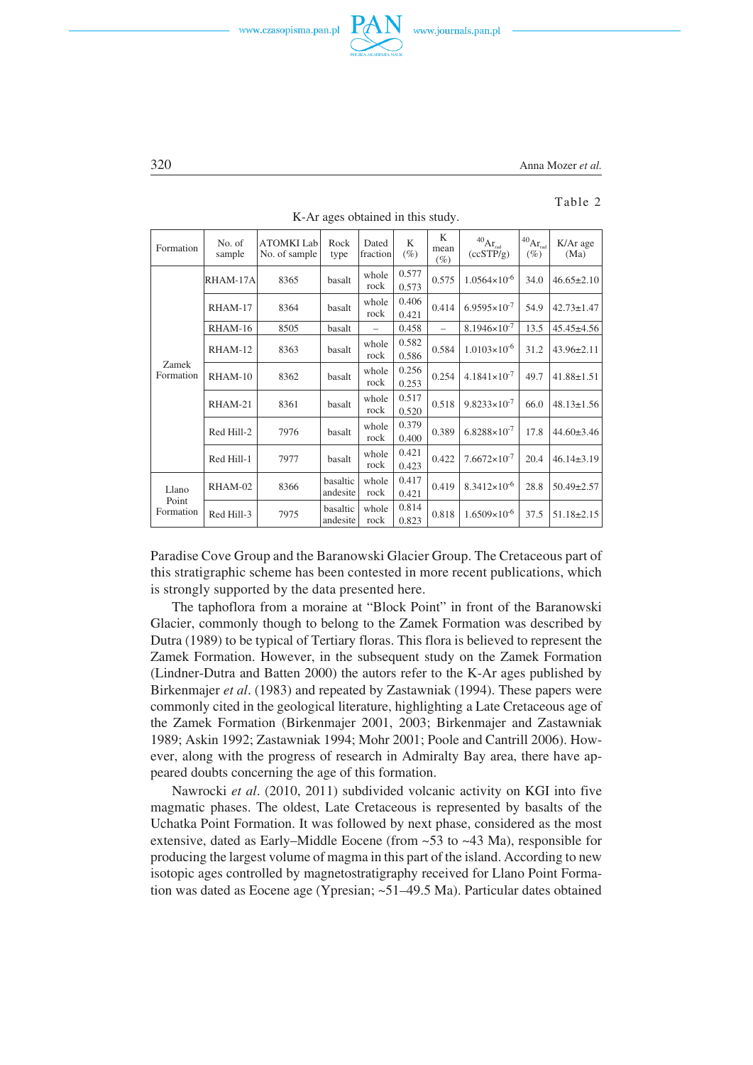





#### Table 2

| Formation                   | No. of<br>sample | <b>ATOMKI</b> Lab<br>No. of sample | Rock<br>type         | Dated<br>fraction | K<br>$(\%)$    | K<br>mean<br>$(\%)$      | $^{40}\mathrm{Ar}_{\text{\tiny{rad}}}$<br>(ccSTP/g) | $1^{40}Ar_{rad}$<br>$(\%)$ | K/Ar age<br>(Ma) |
|-----------------------------|------------------|------------------------------------|----------------------|-------------------|----------------|--------------------------|-----------------------------------------------------|----------------------------|------------------|
|                             | RHAM-17A         | 8365                               | basalt               | whole<br>rock     | 0.577<br>0.573 | 0.575                    | $1.0564 \times 10^{-6}$                             | 34.0                       | $46.65 \pm 2.10$ |
|                             | RHAM-17          | 8364                               | basalt               | whole<br>rock     | 0.406<br>0.421 | 0.414                    | $6.9595 \times 10^{-7}$                             | 54.9                       | $42.73 \pm 1.47$ |
|                             | RHAM-16          | 8505                               | basalt               |                   | 0.458          | $\overline{\phantom{0}}$ | $8.1946 \times 10^{-7}$                             | 13.5                       | $45.45 \pm 4.56$ |
|                             | RHAM-12          | 8363                               | basalt               | whole<br>rock     | 0.582<br>0.586 | 0.584                    | $1.0103 \times 10^{-6}$                             | 31.2                       | $43.96 \pm 2.11$ |
| Zamek<br>Formation          | RHAM-10          | 8362                               | basalt               | whole<br>rock     | 0.256<br>0.253 | 0.254                    | $4.1841 \times 10^{-7}$                             | 49.7                       | $41.88 \pm 1.51$ |
|                             | RHAM-21          | 8361                               | basalt               | whole<br>rock     | 0.517<br>0.520 | 0.518                    | $9.8233 \times 10^{-7}$                             | 66.0                       | $48.13 \pm 1.56$ |
|                             | Red Hill-2       | 7976                               | basalt               | whole<br>rock     | 0.379<br>0.400 | 0.389                    | $6.8288 \times 10^{-7}$                             | 17.8                       | $44.60 \pm 3.46$ |
|                             | Red Hill-1       | 7977                               | basalt               | whole<br>rock     | 0.421<br>0.423 | 0.422                    | $7.6672\times10^{-7}$                               | 20.4                       | $46.14\pm3.19$   |
| Llano<br>Point<br>Formation | RHAM-02          | 8366                               | basaltic<br>andesite | whole<br>rock     | 0.417<br>0.421 | 0.419                    | $8.3412\times10^{-6}$                               | 28.8                       | $50.49 \pm 2.57$ |
|                             | Red Hill-3       | 7975                               | basaltic<br>andesite | whole<br>rock     | 0.814<br>0.823 | 0.818                    | $1.6509 \times 10^{-6}$                             | 37.5                       | $51.18 \pm 2.15$ |

K−Ar ages obtained in this study.

Paradise Cove Group and the Baranowski Glacier Group. The Cretaceous part of this stratigraphic scheme has been contested in more recent publications, which is strongly supported by the data presented here.

The taphoflora from a moraine at "Block Point" in front of the Baranowski Glacier, commonly though to belong to the Zamek Formation was described by Dutra (1989) to be typical of Tertiary floras. This flora is believed to represent the Zamek Formation. However, in the subsequent study on the Zamek Formation (Lindner−Dutra and Batten 2000) the autors refer to the K−Ar ages published by Birkenmajer *et al*. (1983) and repeated by Zastawniak (1994). These papers were commonly cited in the geological literature, highlighting a Late Cretaceous age of the Zamek Formation (Birkenmajer 2001, 2003; Birkenmajer and Zastawniak 1989; Askin 1992; Zastawniak 1994; Mohr 2001; Poole and Cantrill 2006). How− ever, along with the progress of research in Admiralty Bay area, there have ap− peared doubts concerning the age of this formation.

Nawrocki *et al*. (2010, 2011) subdivided volcanic activity on KGI into five magmatic phases. The oldest, Late Cretaceous is represented by basalts of the Uchatka Point Formation. It was followed by next phase, considered as the most extensive, dated as Early–Middle Eocene (from  $\sim$  53 to  $\sim$  43 Ma), responsible for producing the largest volume of magma in this part of the island. According to new isotopic ages controlled by magnetostratigraphy received for Llano Point Forma− tion was dated as Eocene age (Ypresian; ~51–49.5 Ma). Particular dates obtained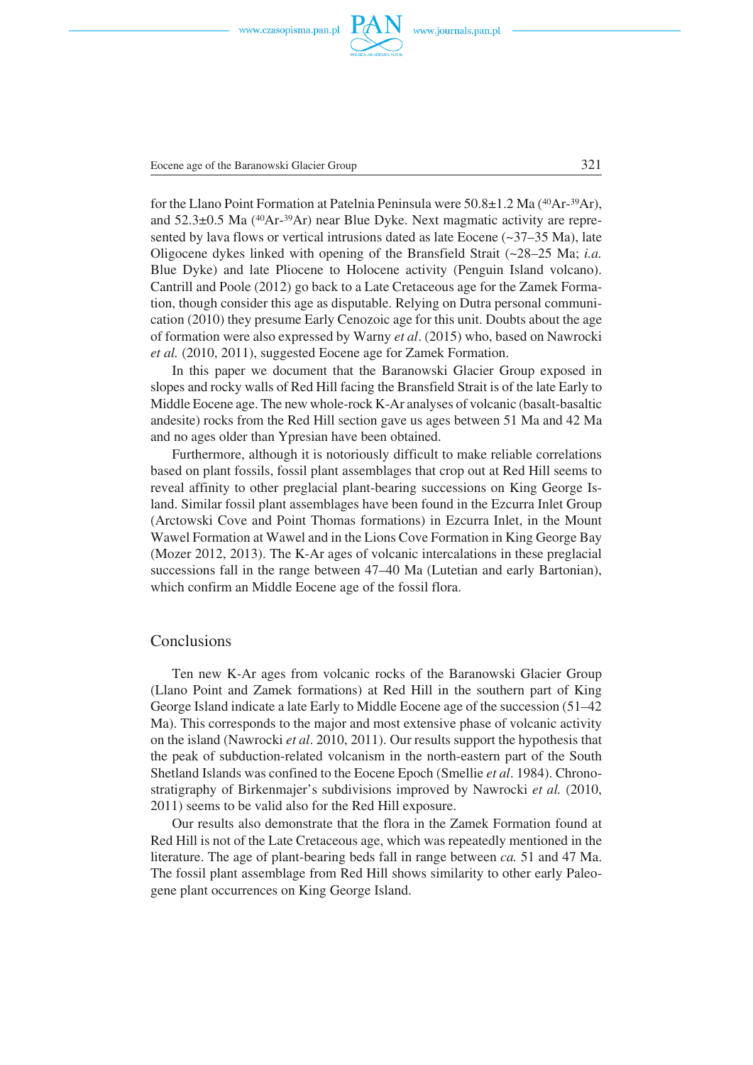

Eocene age of the Baranowski Glacier Group 321

for the Llano Point Formation at Patelnia Peninsula were 50.8±1.2 Ma (40Ar−39Ar), and 52.3±0.5 Ma (40Ar−39Ar) near Blue Dyke. Next magmatic activity are repre− sented by lava flows or vertical intrusions dated as late Eocene  $(\sim 37-35 \text{ Ma})$ , late Oligocene dykes linked with opening of the Bransfield Strait (~28–25 Ma; *i.a.* Blue Dyke) and late Pliocene to Holocene activity (Penguin Island volcano). Cantrill and Poole (2012) go back to a Late Cretaceous age for the Zamek Forma− tion, though consider this age as disputable. Relying on Dutra personal communi− cation (2010) they presume Early Cenozoic age for this unit. Doubts about the age of formation were also expressed by Warny *et al*. (2015) who, based on Nawrocki *et al.* (2010, 2011), suggested Eocene age for Zamek Formation.

In this paper we document that the Baranowski Glacier Group exposed in slopes and rocky walls of Red Hill facing the Bransfield Strait is of the late Early to Middle Eocene age. The new whole−rock K−Ar analyses of volcanic (basalt−basaltic andesite) rocks from the Red Hill section gave us ages between 51 Ma and 42 Ma and no ages older than Ypresian have been obtained.

Furthermore, although it is notoriously difficult to make reliable correlations based on plant fossils, fossil plant assemblages that crop out at Red Hill seems to reveal affinity to other preglacial plant−bearing successions on King George Is− land. Similar fossil plant assemblages have been found in the Ezcurra Inlet Group (Arctowski Cove and Point Thomas formations) in Ezcurra Inlet, in the Mount Wawel Formation at Wawel and in the Lions Cove Formation in King George Bay (Mozer 2012, 2013). The K−Ar ages of volcanic intercalations in these preglacial successions fall in the range between 47–40 Ma (Lutetian and early Bartonian), which confirm an Middle Eocene age of the fossil flora.

#### Conclusions

Ten new K−Ar ages from volcanic rocks of the Baranowski Glacier Group (Llano Point and Zamek formations) at Red Hill in the southern part of King George Island indicate a late Early to Middle Eocene age of the succession (51–42 Ma). This corresponds to the major and most extensive phase of volcanic activity on the island (Nawrocki *et al*. 2010, 2011). Our results support the hypothesis that the peak of subduction−related volcanism in the north−eastern part of the South Shetland Islands was confined to the Eocene Epoch (Smellie *et al*. 1984). Chrono− stratigraphy of Birkenmajer's subdivisions improved by Nawrocki *et al.* (2010, 2011) seems to be valid also for the Red Hill exposure.

Our results also demonstrate that the flora in the Zamek Formation found at Red Hill is not of the Late Cretaceous age, which was repeatedly mentioned in the literature. The age of plant−bearing beds fall in range between *ca.* 51 and 47 Ma. The fossil plant assemblage from Red Hill shows similarity to other early Paleo− gene plant occurrences on King George Island.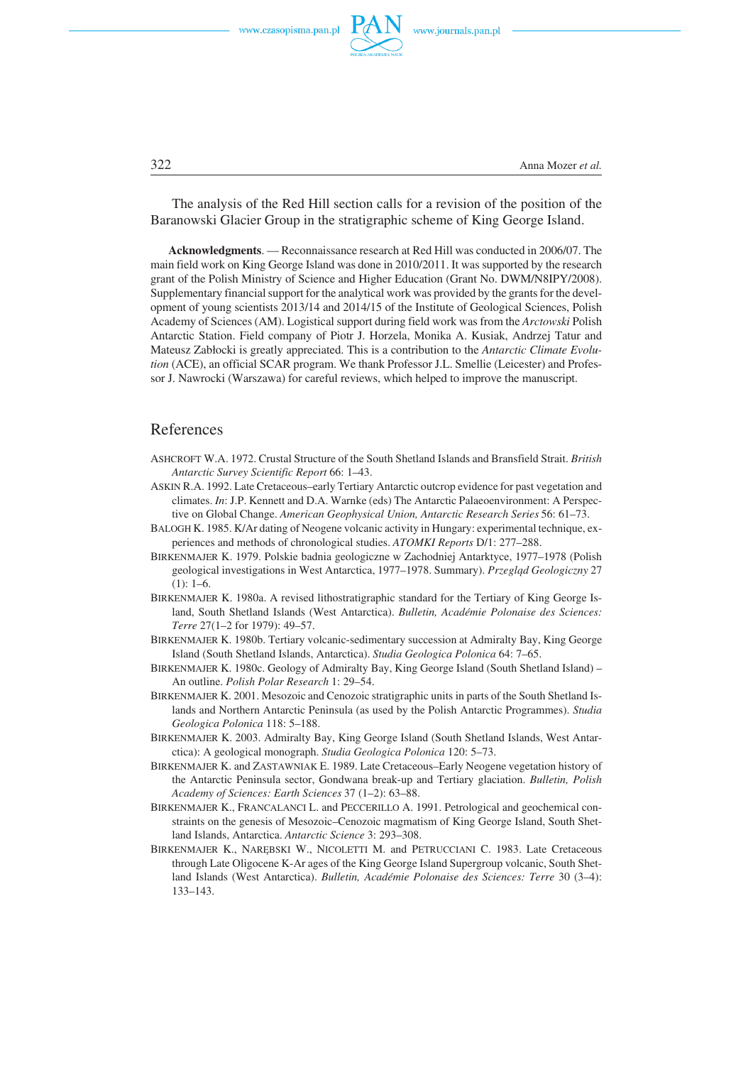

322 Anna Mozer *et al.*

The analysis of the Red Hill section calls for a revision of the position of the Baranowski Glacier Group in the stratigraphic scheme of King George Island.

**Acknowledgments**. — Reconnaissance research at Red Hill was conducted in 2006/07. The main field work on King George Island was done in 2010/2011. It was supported by the research grant of the Polish Ministry of Science and Higher Education (Grant No. DWM/N8IPY/2008). Supplementary financial support for the analytical work was provided by the grants for the devel− opment of young scientists 2013/14 and 2014/15 of the Institute of Geological Sciences, Polish Academy of Sciences (AM). Logistical support during field work was from the *Arctowski* Polish Antarctic Station. Field company of Piotr J. Horzela, Monika A. Kusiak, Andrzej Tatur and Mateusz Zabłocki is greatly appreciated. This is a contribution to the *Antarctic Climate Evolu− tion* (ACE), an official SCAR program. We thank Professor J.L. Smellie (Leicester) and Profes− sor J. Nawrocki (Warszawa) for careful reviews, which helped to improve the manuscript.

#### References

- ASHCROFT W.A. 1972. Crustal Structure of the South Shetland Islands and Bransfield Strait. *British Antarctic Survey Scientific Report* 66: 1–43.
- ASKIN R.A. 1992. Late Cretaceous–early Tertiary Antarctic outcrop evidence for past vegetation and climates. *In*: J.P. Kennett and D.A. Warnke (eds) The Antarctic Palaeoenvironment: A Perspec− tive on Global Change. *American Geophysical Union, Antarctic Research Series* 56: 61–73.
- BALOGH K. 1985. K/Ar dating of Neogene volcanic activity in Hungary: experimental technique, ex− periences and methods of chronological studies. *ATOMKI Reports* D/1: 277–288.
- BIRKENMAJER K. 1979. Polskie badnia geologiczne w Zachodniej Antarktyce, 1977–1978 (Polish geological investigations in West Antarctica, 1977–1978. Summary). *Przegląd Geologiczny* 27  $(1): 1-6.$
- BIRKENMAJER K. 1980a. A revised lithostratigraphic standard for the Tertiary of King George Is− land, South Shetland Islands (West Antarctica). *Bulletin, Académie Polonaise des Sciences: Terre* 27(1–2 for 1979): 49–57.
- BIRKENMAJER K. 1980b. Tertiary volcanic−sedimentary succession at Admiralty Bay, King George Island (South Shetland Islands, Antarctica). *Studia Geologica Polonica* 64: 7–65.
- BIRKENMAJER K. 1980c. Geology of Admiralty Bay, King George Island (South Shetland Island) An outline. *Polish Polar Research* 1: 29–54.
- BIRKENMAJER K. 2001. Mesozoic and Cenozoic stratigraphic units in parts of the South Shetland Is− lands and Northern Antarctic Peninsula (as used by the Polish Antarctic Programmes). *Studia Geologica Polonica* 118: 5–188.
- BIRKENMAJER K. 2003. Admiralty Bay, King George Island (South Shetland Islands, West Antar− ctica): A geological monograph. *Studia Geologica Polonica* 120: 5–73.
- BIRKENMAJER K. and ZASTAWNIAK E. 1989. Late Cretaceous–Early Neogene vegetation history of the Antarctic Peninsula sector, Gondwana break−up and Tertiary glaciation. *Bulletin, Polish Academy of Sciences: Earth Sciences* 37 (1–2): 63–88.
- BIRKENMAJER K., FRANCALANCI L. and PECCERILLO A. 1991. Petrological and geochemical con− straints on the genesis of Mesozoic–Cenozoic magmatism of King George Island, South Shet− land Islands, Antarctica. *Antarctic Science* 3: 293–308.
- BIRKENMAJER K., NARĘBSKI W., NICOLETTI M. and PETRUCCIANI C. 1983. Late Cretaceous through Late Oligocene K−Ar ages of the King George Island Supergroup volcanic, South Shet− land Islands (West Antarctica). *Bulletin, Académie Polonaise des Sciences: Terre* 30 (3–4): 133–143.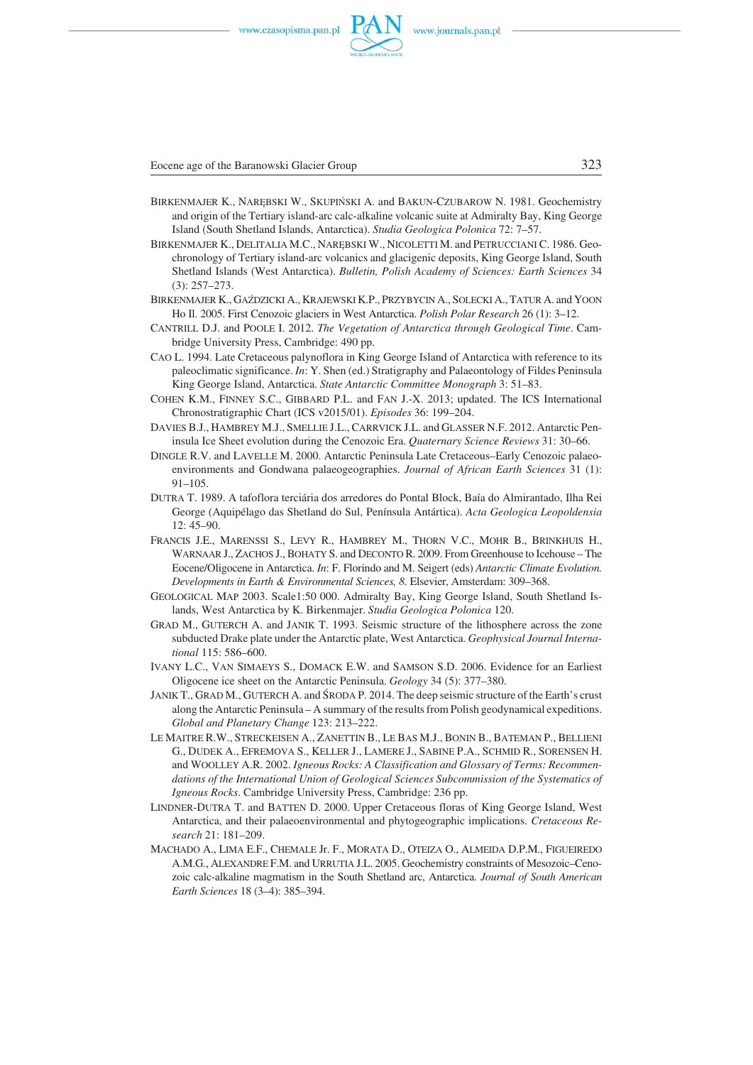

Eocene age of the Baranowski Glacier Group 323

- BIRKENMAJER K., NARĘBSKI W., SKUPIŃSKI A. and BAKUN−CZUBAROW N. 1981. Geochemistry and origin of the Tertiary island−arc calc−alkaline volcanic suite at Admiralty Bay, King George Island (South Shetland Islands, Antarctica). *Studia Geologica Polonica* 72: 7–57.
- BIRKENMAJER K., DELITALIA M.C., NARĘBSKI W., NICOLETTI M. and PETRUCCIANI C. 1986. Geo− chronology of Tertiary island−arc volcanics and glacigenic deposits, King George Island, South Shetland Islands (West Antarctica). *Bulletin, Polish Academy of Sciences: Earth Sciences* 34 (3): 257–273.
- BIRKENMAJER K., GAŹDZICKI A., KRAJEWSKI K.P., PRZYBYCIN A., SOLECKI A., TATUR A. and YOON Ho Il. 2005. First Cenozoic glaciers in West Antarctica. *Polish Polar Research* 26 (1): 3–12.
- CANTRILL D.J. and POOLE I. 2012. *The Vegetation of Antarctica through Geological Time*. Cam− bridge University Press, Cambridge: 490 pp.
- CAO L. 1994. Late Cretaceous palynoflora in King George Island of Antarctica with reference to its paleoclimatic significance. *In*: Y. Shen (ed.) Stratigraphy and Palaeontology of Fildes Peninsula King George Island, Antarctica. *State Antarctic Committee Monograph* 3: 51–83.
- COHEN K.M., FINNEY S.C., GIBBARD P.L. and FAN J.−X. 2013; updated. The ICS International Chronostratigraphic Chart (ICS v2015/01). *Episodes* 36: 199–204.
- DAVIES B.J., HAMBREY M.J., SMELLIE J.L., CARRVICK J.L. and GLASSER N.F. 2012. Antarctic Pen− insula Ice Sheet evolution during the Cenozoic Era. *Quaternary Science Reviews* 31: 30–66.
- DINGLE R.V. and LAVELLE M. 2000. Antarctic Peninsula Late Cretaceous–Early Cenozoic palaeo− environments and Gondwana palaeogeographies. *Journal of African Earth Sciences* 31 (1):  $91 - 105$
- DUTRA T. 1989. A tafoflora terciária dos arredores do Pontal Block, Baía do Almirantado, Ilha Rei George (Aquipélago das Shetland do Sul, Península Antártica). *Acta Geologica Leopoldensia* 12: 45–90.
- FRANCIS J.E., MARENSSI S., LEVY R., HAMBREY M., THORN V.C., MOHR B., BRINKHUIS H., WARNAAR J., ZACHOS J., BOHATY S. and DECONTO R. 2009. From Greenhouse to Icehouse – The Eocene/Oligocene in Antarctica. *In*: F. Florindo and M. Seigert (eds) *Antarctic Climate Evolution. Developments in Earth & Environmental Sciences, 8*. Elsevier, Amsterdam: 309–368.
- GEOLOGICAL MAP 2003. Scale1:50 000. Admiralty Bay, King George Island, South Shetland Islands, West Antarctica by K. Birkenmajer. *Studia Geologica Polonica* 120.
- GRAD M., GUTERCH A. and JANIK T. 1993. Seismic structure of the lithosphere across the zone subducted Drake plate under the Antarctic plate, West Antarctica. *Geophysical Journal Interna− tional* 115: 586–600.
- IVANY L.C., VAN SIMAEYS S., DOMACK E.W. and SAMSON S.D. 2006. Evidence for an Earliest Oligocene ice sheet on the Antarctic Peninsula. *Geology* 34 (5): 377–380.
- JANIK T., GRAD M., GUTERCH A. and ŚRODA P. 2014. The deep seismic structure of the Earth's crust along the Antarctic Peninsula – A summary of the results from Polish geodynamical expeditions. *Global and Planetary Change* 123: 213–222.
- LE MAITRE R.W., STRECKEISEN A., ZANETTIN B., LE BAS M.J., BONIN B., BATEMAN P., BELLIENI G., DUDEK A., EFREMOVA S., KELLER J., LAMERE J., SABINE P.A., SCHMID R., SORENSEN H. and WOOLLEY A.R. 2002. *Igneous Rocks: A Classification and Glossary of Terms: Recommen− dations of the International Union of Geological Sciences Subcommission of the Systematics of Igneous Rocks*. Cambridge University Press, Cambridge: 236 pp.
- LINDNER−DUTRA T. and BATTEN D. 2000. Upper Cretaceous floras of King George Island, West Antarctica, and their palaeoenvironmental and phytogeographic implications. *Cretaceous Re− search* 21: 181–209.
- MACHADO A., LIMA E.F., CHEMALE Jr. F., MORATA D., OTEIZA O., ALMEIDA D.P.M., FIGUEIREDO A.M.G., ALEXANDRE F.M. and URRUTIA J.L. 2005. Geochemistry constraints of Mesozoic–Ceno− zoic calc−alkaline magmatism in the South Shetland arc, Antarctica. *Journal of South American Earth Sciences* 18 (3–4): 385–394.